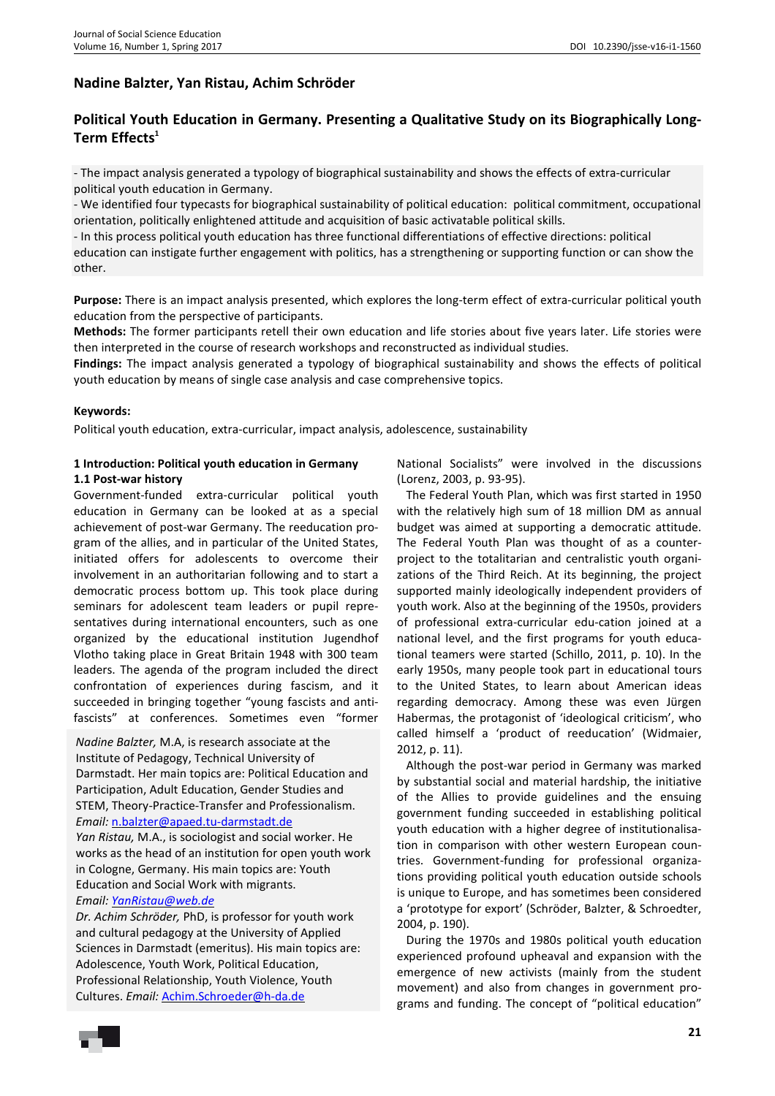# **Nadine Balzter, Yan Ristau, Achim Schröder**

## **Political Youth Education in Germany. Presenting a Qualitative Study on its Biographically Long-Term Effects<sup>1</sup>**

- The impact analysis generated a typology of biographical sustainability and shows the effects of extra-curricular political youth education in Germany.

- We identified four typecasts for biographical sustainability of political education: political commitment, occupational orientation, politically enlightened attitude and acquisition of basic activatable political skills.

- In this process political youth education has three functional differentiations of effective directions: political education can instigate further engagement with politics, has a strengthening or supporting function or can show the other.

**Purpose:** There is an impact analysis presented, which explores the long-term effect of extra-curricular political youth education from the perspective of participants.

**Methods:** The former participants retell their own education and life stories about five years later. Life stories were then interpreted in the course of research workshops and reconstructed as individual studies.

**Findings:** The impact analysis generated a typology of biographical sustainability and shows the effects of political youth education by means of single case analysis and case comprehensive topics.

#### **Keywords:**

Political youth education, extra-curricular, impact analysis, adolescence, sustainability

#### **1 Introduction: Political youth education in Germany 1.1 Post-war history**

Government-funded extra-curricular political youth education in Germany can be looked at as a special achievement of post-war Germany. The reeducation program of the allies, and in particular of the United States, initiated offers for adolescents to overcome their involvement in an authoritarian following and to start a democratic process bottom up. This took place during seminars for adolescent team leaders or pupil representatives during international encounters, such as one organized by the educational institution Jugendhof Vlotho taking place in Great Britain 1948 with 300 team leaders. The agenda of the program included the direct confrontation of experiences during fascism, and it succeeded in bringing together "young fascists and antifascists" at conferences. Sometimes even "former

*Nadine Balzter,* M.A, is research associate at the Institute of Pedagogy, Technical University of Darmstadt. Her main topics are: Political Education and Participation, Adult Education, Gender Studies and STEM, Theory-Practice-Transfer and Professionalism. *Email:* n.balzter@apaed.tu-darmstadt.de

*Yan Ristau,* M.A., is sociologist and social worker. He works as the head of an institution for open youth work in Cologne, Germany. His main topics are: Youth Education and Social Work with migrants. *Email: YanRistau@web.de* 

*Dr. Achim Schröder,* PhD, is professor for youth work and cultural pedagogy at the University of Applied Sciences in Darmstadt (emeritus). His main topics are: Adolescence, Youth Work, Political Education, Professional Relationship, Youth Violence, Youth Cultures. *Email:* Achim.Schroeder@h-da.de

National Socialists" were involved in the discussions (Lorenz, 2003, p. 93-95).

The Federal Youth Plan, which was first started in 1950 with the relatively high sum of 18 million DM as annual budget was aimed at supporting a democratic attitude. The Federal Youth Plan was thought of as a counterproject to the totalitarian and centralistic youth organizations of the Third Reich. At its beginning, the project supported mainly ideologically independent providers of youth work. Also at the beginning of the 1950s, providers of professional extra-curricular edu-cation joined at a national level, and the first programs for youth educational teamers were started (Schillo, 2011, p. 10). In the early 1950s, many people took part in educational tours to the United States, to learn about American ideas regarding democracy. Among these was even Jürgen Habermas, the protagonist of 'ideological criticism', who called himself a 'product of reeducation' (Widmaier, 2012, p. 11).

Although the post-war period in Germany was marked by substantial social and material hardship, the initiative of the Allies to provide guidelines and the ensuing government funding succeeded in establishing political youth education with a higher degree of institutionalisation in comparison with other western European countries. Government-funding for professional organizations providing political youth education outside schools is unique to Europe, and has sometimes been considered a 'prototype for export' (Schröder, Balzter, & Schroedter, 2004, p. 190).

During the 1970s and 1980s political youth education experienced profound upheaval and expansion with the emergence of new activists (mainly from the student movement) and also from changes in government programs and funding. The concept of "political education"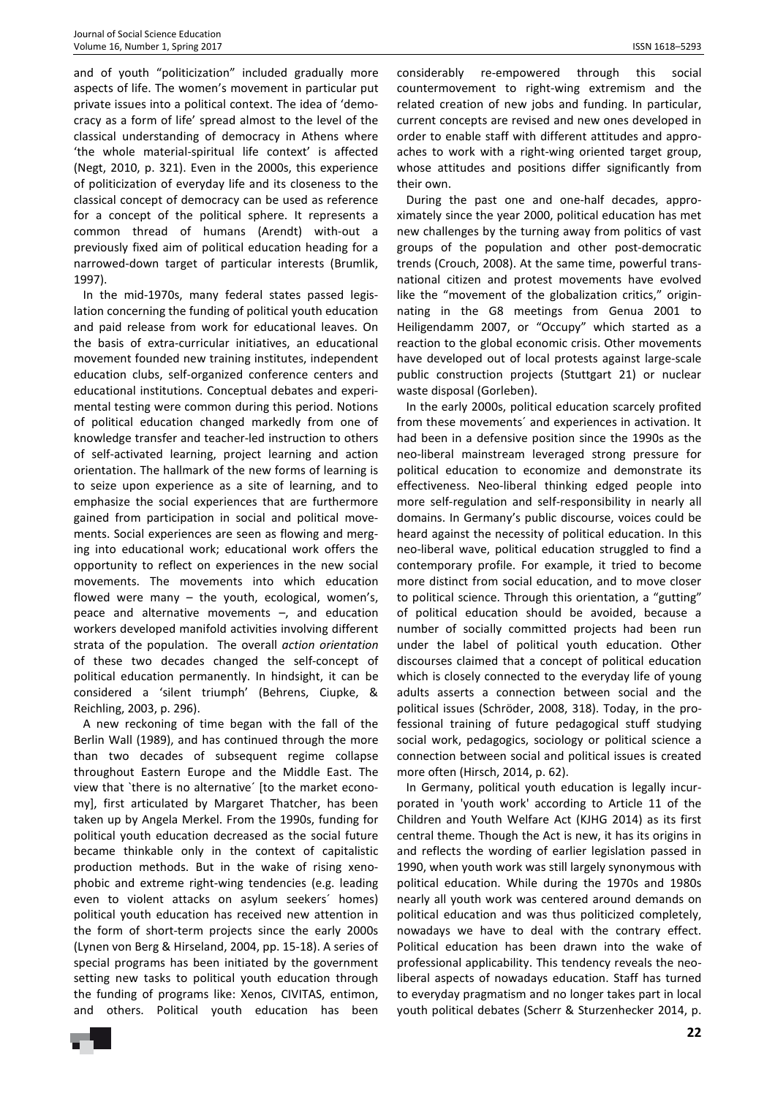and of youth "politicization" included gradually more aspects of life. The women's movement in particular put private issues into a political context. The idea of 'democracy as a form of life' spread almost to the level of the classical understanding of democracy in Athens where 'the whole material-spiritual life context' is affected (Negt, 2010, p. 321). Even in the 2000s, this experience of politicization of everyday life and its closeness to the classical concept of democracy can be used as reference for a concept of the political sphere. It represents a common thread of humans (Arendt) with-out a previously fixed aim of political education heading for a narrowed-down target of particular interests (Brumlik, 1997).

In the mid-1970s, many federal states passed legislation concerning the funding of political youth education and paid release from work for educational leaves. On the basis of extra-curricular initiatives, an educational movement founded new training institutes, independent education clubs, self-organized conference centers and educational institutions. Conceptual debates and experimental testing were common during this period. Notions of political education changed markedly from one of knowledge transfer and teacher-led instruction to others of self-activated learning, project learning and action orientation. The hallmark of the new forms of learning is to seize upon experience as a site of learning, and to emphasize the social experiences that are furthermore gained from participation in social and political movements. Social experiences are seen as flowing and merging into educational work; educational work offers the opportunity to reflect on experiences in the new social movements. The movements into which education flowed were many – the youth, ecological, women's, peace and alternative movements –, and education workers developed manifold activities involving different strata of the population. The overall *action orientation* of these two decades changed the self-concept of political education permanently. In hindsight, it can be considered a 'silent triumph' (Behrens, Ciupke, & Reichling, 2003, p. 296).

A new reckoning of time began with the fall of the Berlin Wall (1989), and has continued through the more than two decades of subsequent regime collapse throughout Eastern Europe and the Middle East. The view that `there is no alternative´ [to the market economy], first articulated by Margaret Thatcher, has been taken up by Angela Merkel. From the 1990s, funding for political youth education decreased as the social future became thinkable only in the context of capitalistic production methods. But in the wake of rising xenophobic and extreme right-wing tendencies (e.g. leading even to violent attacks on asylum seekers´ homes) political youth education has received new attention in the form of short-term projects since the early 2000s (Lynen von Berg & Hirseland, 2004, pp. 15-18). A series of special programs has been initiated by the government setting new tasks to political youth education through the funding of programs like: Xenos, CIVITAS, entimon, and others. Political youth education has been

considerably re-empowered through this social countermovement to right-wing extremism and the related creation of new jobs and funding. In particular, current concepts are revised and new ones developed in order to enable staff with different attitudes and approaches to work with a right-wing oriented target group, whose attitudes and positions differ significantly from their own.

During the past one and one-half decades, approximately since the year 2000, political education has met new challenges by the turning away from politics of vast groups of the population and other post-democratic trends (Crouch, 2008). At the same time, powerful transnational citizen and protest movements have evolved like the "movement of the globalization critics," originnating in the G8 meetings from Genua 2001 to Heiligendamm 2007, or "Occupy" which started as a reaction to the global economic crisis. Other movements have developed out of local protests against large-scale public construction projects (Stuttgart 21) or nuclear waste disposal (Gorleben).

In the early 2000s, political education scarcely profited from these movements´ and experiences in activation. It had been in a defensive position since the 1990s as the neo-liberal mainstream leveraged strong pressure for political education to economize and demonstrate its effectiveness. Neo-liberal thinking edged people into more self-regulation and self-responsibility in nearly all domains. In Germany's public discourse, voices could be heard against the necessity of political education. In this neo-liberal wave, political education struggled to find a contemporary profile. For example, it tried to become more distinct from social education, and to move closer to political science. Through this orientation, a "gutting" of political education should be avoided, because a number of socially committed projects had been run under the label of political youth education. Other discourses claimed that a concept of political education which is closely connected to the everyday life of young adults asserts a connection between social and the political issues (Schröder, 2008, 318). Today, in the professional training of future pedagogical stuff studying social work, pedagogics, sociology or political science a connection between social and political issues is created more often (Hirsch, 2014, p. 62).

In Germany, political youth education is legally incurporated in 'youth work' according to Article 11 of the Children and Youth Welfare Act (KJHG 2014) as its first central theme. Though the Act is new, it has its origins in and reflects the wording of earlier legislation passed in 1990, when youth work was still largely synonymous with political education. While during the 1970s and 1980s nearly all youth work was centered around demands on political education and was thus politicized completely, nowadays we have to deal with the contrary effect. Political education has been drawn into the wake of professional applicability. This tendency reveals the neoliberal aspects of nowadays education. Staff has turned to everyday pragmatism and no longer takes part in local youth political debates (Scherr & Sturzenhecker 2014, p.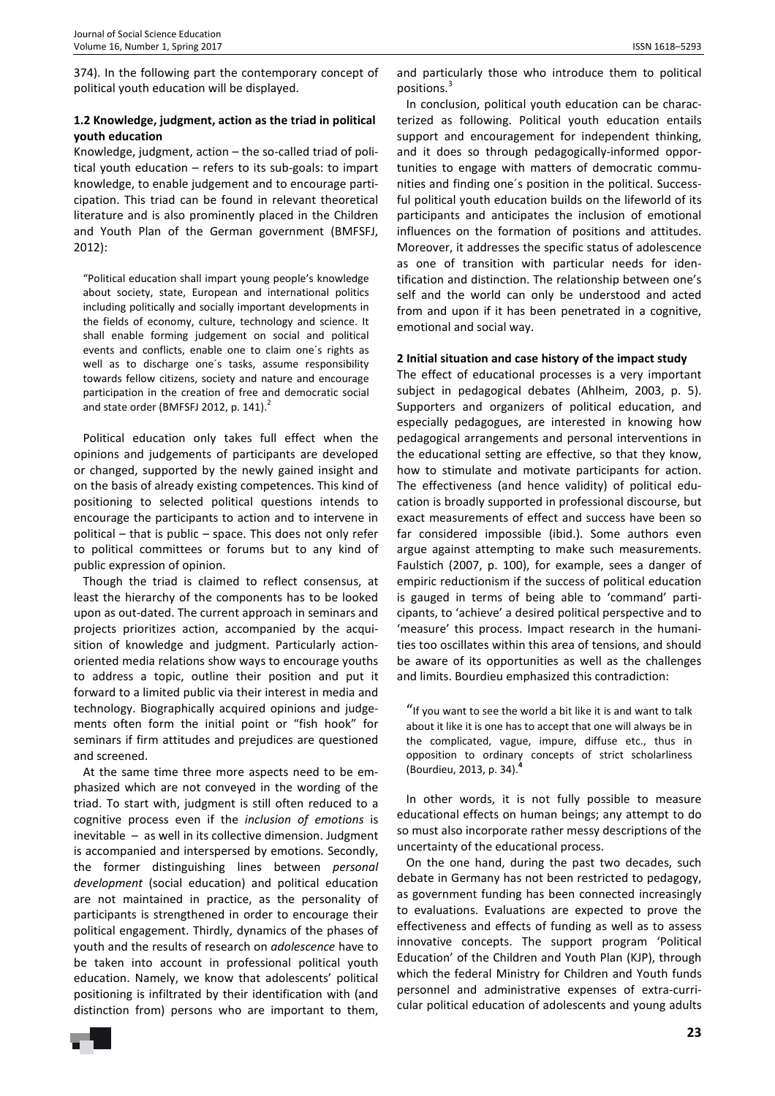374). In the following part the contemporary concept of political youth education will be displayed.

## **1.2 Knowledge, judgment, action as the triad in political youth education**

Knowledge, judgment, action – the so-called triad of political youth education – refers to its sub-goals: to impart knowledge, to enable judgement and to encourage participation. This triad can be found in relevant theoretical literature and is also prominently placed in the Children and Youth Plan of the German government (BMFSFJ, 2012):

"Political education shall impart young people's knowledge about society, state, European and international politics including politically and socially important developments in the fields of economy, culture, technology and science. It shall enable forming judgement on social and political events and conflicts, enable one to claim one´s rights as well as to discharge one´s tasks, assume responsibility towards fellow citizens, society and nature and encourage participation in the creation of free and democratic social and state order (BMFSFJ 2012, p. 141). $2$ 

Political education only takes full effect when the opinions and judgements of participants are developed or changed, supported by the newly gained insight and on the basis of already existing competences. This kind of positioning to selected political questions intends to encourage the participants to action and to intervene in political – that is public – space. This does not only refer to political committees or forums but to any kind of public expression of opinion.

Though the triad is claimed to reflect consensus, at least the hierarchy of the components has to be looked upon as out-dated. The current approach in seminars and projects prioritizes action, accompanied by the acquisition of knowledge and judgment. Particularly actionoriented media relations show ways to encourage youths to address a topic, outline their position and put it forward to a limited public via their interest in media and technology. Biographically acquired opinions and judgements often form the initial point or "fish hook" for seminars if firm attitudes and prejudices are questioned and screened.

At the same time three more aspects need to be emphasized which are not conveyed in the wording of the triad. To start with, judgment is still often reduced to a cognitive process even if the *inclusion of emotions* is inevitable – as well in its collective dimension. Judgment is accompanied and interspersed by emotions. Secondly, the former distinguishing lines between *personal development* (social education) and political education are not maintained in practice, as the personality of participants is strengthened in order to encourage their political engagement. Thirdly, dynamics of the phases of youth and the results of research on *adolescence* have to be taken into account in professional political youth education. Namely, we know that adolescents' political positioning is infiltrated by their identification with (and distinction from) persons who are important to them,

and particularly those who introduce them to political positions.<sup>3</sup>

In conclusion, political youth education can be characterized as following. Political youth education entails support and encouragement for independent thinking, and it does so through pedagogically-informed opportunities to engage with matters of democratic communities and finding one´s position in the political. Successful political youth education builds on the lifeworld of its participants and anticipates the inclusion of emotional influences on the formation of positions and attitudes. Moreover, it addresses the specific status of adolescence as one of transition with particular needs for identification and distinction. The relationship between one's self and the world can only be understood and acted from and upon if it has been penetrated in a cognitive, emotional and social way.

#### **2 Initial situation and case history of the impact study**

The effect of educational processes is a very important subject in pedagogical debates (Ahlheim, 2003, p. 5). Supporters and organizers of political education, and especially pedagogues, are interested in knowing how pedagogical arrangements and personal interventions in the educational setting are effective, so that they know, how to stimulate and motivate participants for action. The effectiveness (and hence validity) of political education is broadly supported in professional discourse, but exact measurements of effect and success have been so far considered impossible (ibid.). Some authors even argue against attempting to make such measurements. Faulstich (2007, p. 100), for example, sees a danger of empiric reductionism if the success of political education is gauged in terms of being able to 'command' participants, to 'achieve' a desired political perspective and to 'measure' this process. Impact research in the humanities too oscillates within this area of tensions, and should be aware of its opportunities as well as the challenges and limits. Bourdieu emphasized this contradiction:

"If you want to see the world a bit like it is and want to talk about it like it is one has to accept that one will always be in the complicated, vague, impure, diffuse etc., thus in opposition to ordinary concepts of strict scholarliness (Bourdieu, 2013, p. 34).**<sup>4</sup>**

In other words, it is not fully possible to measure educational effects on human beings; any attempt to do so must also incorporate rather messy descriptions of the uncertainty of the educational process.

On the one hand, during the past two decades, such debate in Germany has not been restricted to pedagogy, as government funding has been connected increasingly to evaluations. Evaluations are expected to prove the effectiveness and effects of funding as well as to assess innovative concepts. The support program 'Political Education' of the Children and Youth Plan (KJP), through which the federal Ministry for Children and Youth funds personnel and administrative expenses of extra-curricular political education of adolescents and young adults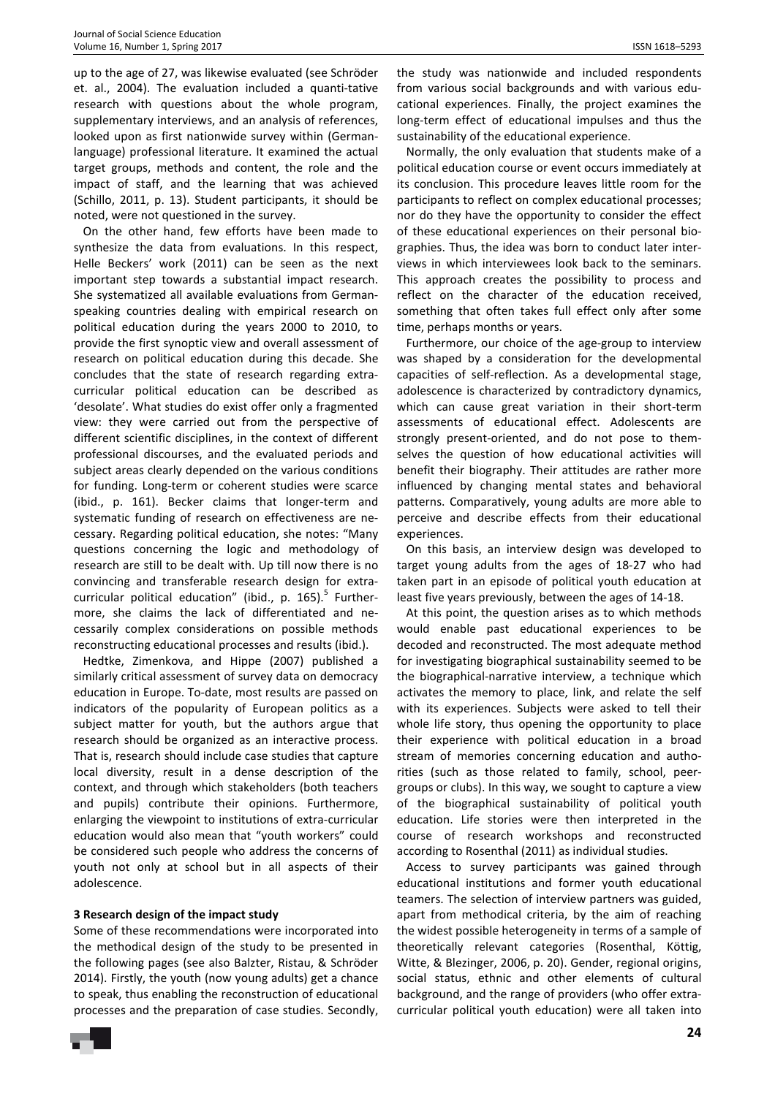up to the age of 27, was likewise evaluated (see Schröder et. al., 2004). The evaluation included a quanti-tative research with questions about the whole program, supplementary interviews, and an analysis of references, looked upon as first nationwide survey within (Germanlanguage) professional literature. It examined the actual target groups, methods and content, the role and the impact of staff, and the learning that was achieved (Schillo, 2011, p. 13). Student participants, it should be noted, were not questioned in the survey.

On the other hand, few efforts have been made to synthesize the data from evaluations. In this respect, Helle Beckers' work (2011) can be seen as the next important step towards a substantial impact research. She systematized all available evaluations from Germanspeaking countries dealing with empirical research on political education during the years 2000 to 2010, to provide the first synoptic view and overall assessment of research on political education during this decade. She concludes that the state of research regarding extracurricular political education can be described as 'desolate'. What studies do exist offer only a fragmented view: they were carried out from the perspective of different scientific disciplines, in the context of different professional discourses, and the evaluated periods and subject areas clearly depended on the various conditions for funding. Long-term or coherent studies were scarce (ibid., p. 161). Becker claims that longer-term and systematic funding of research on effectiveness are necessary. Regarding political education, she notes: "Many questions concerning the logic and methodology of research are still to be dealt with. Up till now there is no convincing and transferable research design for extracurricular political education" (ibid., p. 165).<sup>5</sup> Furthermore, she claims the lack of differentiated and necessarily complex considerations on possible methods reconstructing educational processes and results (ibid.).

Hedtke, Zimenkova, and Hippe (2007) published a similarly critical assessment of survey data on democracy education in Europe. To-date, most results are passed on indicators of the popularity of European politics as a subject matter for youth, but the authors argue that research should be organized as an interactive process. That is, research should include case studies that capture local diversity, result in a dense description of the context, and through which stakeholders (both teachers and pupils) contribute their opinions. Furthermore, enlarging the viewpoint to institutions of extra-curricular education would also mean that "youth workers" could be considered such people who address the concerns of youth not only at school but in all aspects of their adolescence.

#### **3 Research design of the impact study**

Some of these recommendations were incorporated into the methodical design of the study to be presented in the following pages (see also Balzter, Ristau, & Schröder 2014). Firstly, the youth (now young adults) get a chance to speak, thus enabling the reconstruction of educational processes and the preparation of case studies. Secondly, the study was nationwide and included respondents from various social backgrounds and with various educational experiences. Finally, the project examines the long-term effect of educational impulses and thus the sustainability of the educational experience.

Normally, the only evaluation that students make of a political education course or event occurs immediately at its conclusion. This procedure leaves little room for the participants to reflect on complex educational processes; nor do they have the opportunity to consider the effect of these educational experiences on their personal biographies. Thus, the idea was born to conduct later interviews in which interviewees look back to the seminars. This approach creates the possibility to process and reflect on the character of the education received, something that often takes full effect only after some time, perhaps months or years.

Furthermore, our choice of the age-group to interview was shaped by a consideration for the developmental capacities of self-reflection. As a developmental stage, adolescence is characterized by contradictory dynamics, which can cause great variation in their short-term assessments of educational effect. Adolescents are strongly present-oriented, and do not pose to themselves the question of how educational activities will benefit their biography. Their attitudes are rather more influenced by changing mental states and behavioral patterns. Comparatively, young adults are more able to perceive and describe effects from their educational experiences.

On this basis, an interview design was developed to target young adults from the ages of 18-27 who had taken part in an episode of political youth education at least five years previously, between the ages of 14-18.

At this point, the question arises as to which methods would enable past educational experiences to be decoded and reconstructed. The most adequate method for investigating biographical sustainability seemed to be the biographical-narrative interview, a technique which activates the memory to place, link, and relate the self with its experiences. Subjects were asked to tell their whole life story, thus opening the opportunity to place their experience with political education in a broad stream of memories concerning education and authorities (such as those related to family, school, peergroups or clubs). In this way, we sought to capture a view of the biographical sustainability of political youth education. Life stories were then interpreted in the course of research workshops and reconstructed according to Rosenthal (2011) as individual studies.

Access to survey participants was gained through educational institutions and former youth educational teamers. The selection of interview partners was guided, apart from methodical criteria, by the aim of reaching the widest possible heterogeneity in terms of a sample of theoretically relevant categories (Rosenthal, Köttig, Witte, & Blezinger, 2006, p. 20). Gender, regional origins, social status, ethnic and other elements of cultural background, and the range of providers (who offer extracurricular political youth education) were all taken into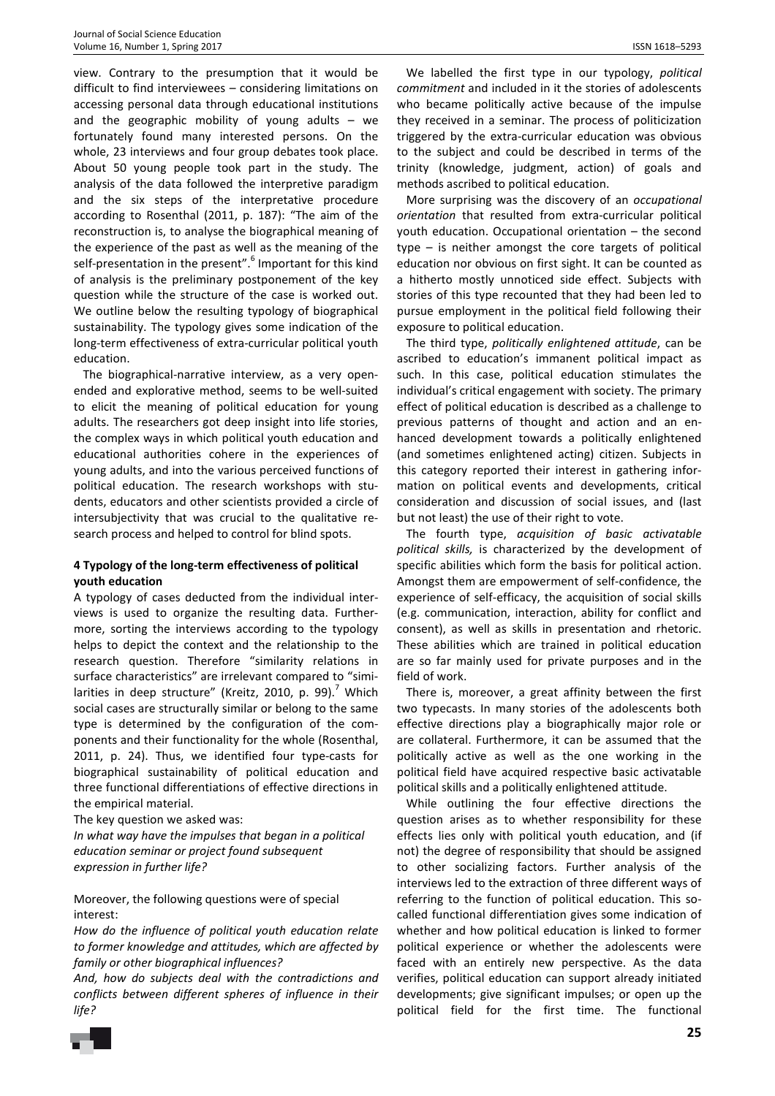view. Contrary to the presumption that it would be difficult to find interviewees – considering limitations on accessing personal data through educational institutions and the geographic mobility of young adults  $-$  we fortunately found many interested persons. On the whole, 23 interviews and four group debates took place. About 50 young people took part in the study. The analysis of the data followed the interpretive paradigm and the six steps of the interpretative procedure according to Rosenthal (2011, p. 187): "The aim of the reconstruction is, to analyse the biographical meaning of the experience of the past as well as the meaning of the self-presentation in the present".<sup>6</sup> Important for this kind of analysis is the preliminary postponement of the key question while the structure of the case is worked out. We outline below the resulting typology of biographical sustainability. The typology gives some indication of the long-term effectiveness of extra-curricular political youth education.

The biographical-narrative interview, as a very openended and explorative method, seems to be well-suited to elicit the meaning of political education for young adults. The researchers got deep insight into life stories, the complex ways in which political youth education and educational authorities cohere in the experiences of young adults, and into the various perceived functions of political education. The research workshops with students, educators and other scientists provided a circle of intersubjectivity that was crucial to the qualitative research process and helped to control for blind spots.

## **4 Typology of the long-term effectiveness of political youth education**

A typology of cases deducted from the individual interviews is used to organize the resulting data. Furthermore, sorting the interviews according to the typology helps to depict the context and the relationship to the research question. Therefore "similarity relations in surface characteristics" are irrelevant compared to "similarities in deep structure" (Kreitz, 2010, p. 99).<sup>7</sup> Which social cases are structurally similar or belong to the same type is determined by the configuration of the components and their functionality for the whole (Rosenthal, 2011, p. 24). Thus, we identified four type-casts for biographical sustainability of political education and three functional differentiations of effective directions in the empirical material.

The key question we asked was:

*In what way have the impulses that began in a political education seminar or project found subsequent expression in further life?* 

Moreover, the following questions were of special interest:

*How do the influence of political youth education relate to former knowledge and attitudes, which are affected by family or other biographical influences?* 

*And, how do subjects deal with the contradictions and conflicts between different spheres of influence in their life?* 

We labelled the first type in our typology, *political commitment* and included in it the stories of adolescents who became politically active because of the impulse they received in a seminar. The process of politicization triggered by the extra-curricular education was obvious to the subject and could be described in terms of the trinity (knowledge, judgment, action) of goals and methods ascribed to political education.

More surprising was the discovery of an *occupational orientation* that resulted from extra-curricular political youth education. Occupational orientation – the second type – is neither amongst the core targets of political education nor obvious on first sight. It can be counted as a hitherto mostly unnoticed side effect. Subjects with stories of this type recounted that they had been led to pursue employment in the political field following their exposure to political education.

The third type, *politically enlightened attitude*, can be ascribed to education's immanent political impact as such. In this case, political education stimulates the individual's critical engagement with society. The primary effect of political education is described as a challenge to previous patterns of thought and action and an enhanced development towards a politically enlightened (and sometimes enlightened acting) citizen. Subjects in this category reported their interest in gathering information on political events and developments, critical consideration and discussion of social issues, and (last but not least) the use of their right to vote.

The fourth type, *acquisition of basic activatable political skills,* is characterized by the development of specific abilities which form the basis for political action. Amongst them are empowerment of self-confidence, the experience of self-efficacy, the acquisition of social skills (e.g. communication, interaction, ability for conflict and consent), as well as skills in presentation and rhetoric. These abilities which are trained in political education are so far mainly used for private purposes and in the field of work.

There is, moreover, a great affinity between the first two typecasts. In many stories of the adolescents both effective directions play a biographically major role or are collateral. Furthermore, it can be assumed that the politically active as well as the one working in the political field have acquired respective basic activatable political skills and a politically enlightened attitude.

While outlining the four effective directions the question arises as to whether responsibility for these effects lies only with political youth education, and (if not) the degree of responsibility that should be assigned to other socializing factors. Further analysis of the interviews led to the extraction of three different ways of referring to the function of political education. This socalled functional differentiation gives some indication of whether and how political education is linked to former political experience or whether the adolescents were faced with an entirely new perspective. As the data verifies, political education can support already initiated developments; give significant impulses; or open up the political field for the first time. The functional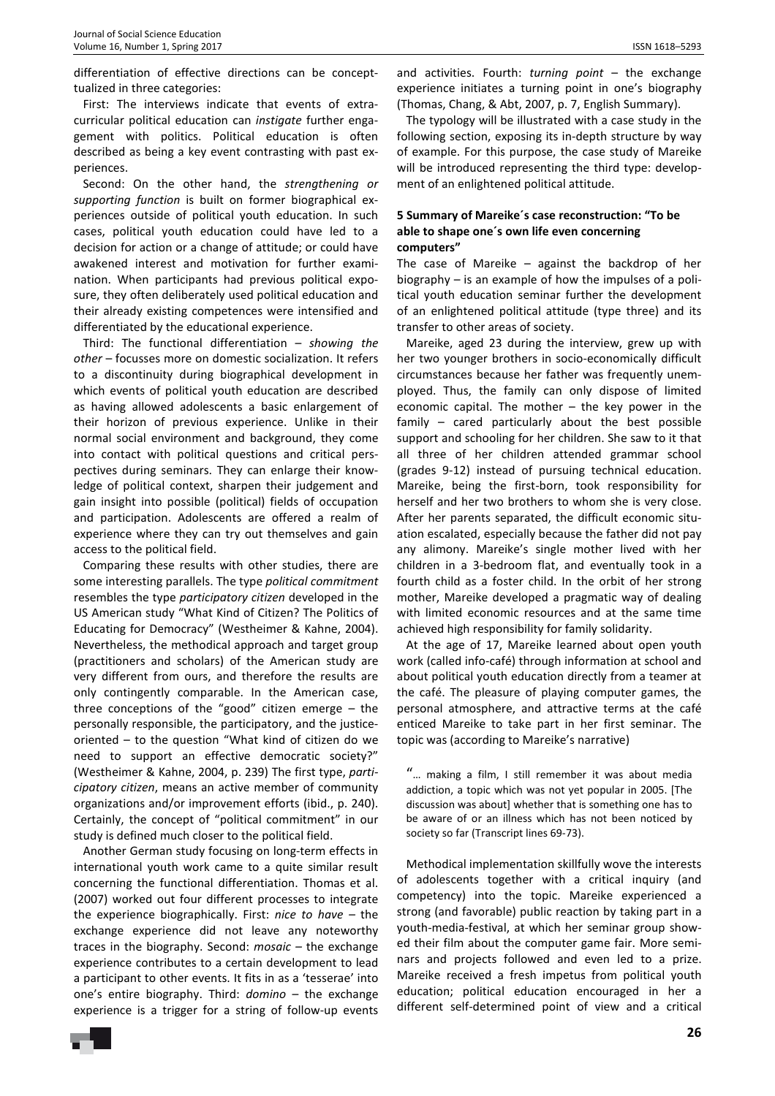differentiation of effective directions can be concepttualized in three categories:

First: The interviews indicate that events of extracurricular political education can *instigate* further engagement with politics. Political education is often described as being a key event contrasting with past experiences.

Second: On the other hand, the *strengthening or supporting function* is built on former biographical experiences outside of political youth education. In such cases, political youth education could have led to a decision for action or a change of attitude; or could have awakened interest and motivation for further examination. When participants had previous political exposure, they often deliberately used political education and their already existing competences were intensified and differentiated by the educational experience.

Third: The functional differentiation – *showing the other* – focusses more on domestic socialization. It refers to a discontinuity during biographical development in which events of political youth education are described as having allowed adolescents a basic enlargement of their horizon of previous experience. Unlike in their normal social environment and background, they come into contact with political questions and critical perspectives during seminars. They can enlarge their knowledge of political context, sharpen their judgement and gain insight into possible (political) fields of occupation and participation. Adolescents are offered a realm of experience where they can try out themselves and gain access to the political field.

Comparing these results with other studies, there are some interesting parallels. The type *political commitment* resembles the type *participatory citizen* developed in the US American study "What Kind of Citizen? The Politics of Educating for Democracy" (Westheimer & Kahne, 2004). Nevertheless, the methodical approach and target group (practitioners and scholars) of the American study are very different from ours, and therefore the results are only contingently comparable. In the American case, three conceptions of the "good" citizen emerge – the personally responsible, the participatory, and the justiceoriented – to the question "What kind of citizen do we need to support an effective democratic society?" (Westheimer & Kahne, 2004, p. 239) The first type, *participatory citizen*, means an active member of community organizations and/or improvement efforts (ibid., p. 240). Certainly, the concept of "political commitment" in our study is defined much closer to the political field.

Another German study focusing on long-term effects in international youth work came to a quite similar result concerning the functional differentiation. Thomas et al. (2007) worked out four different processes to integrate the experience biographically. First: *nice to have –* the exchange experience did not leave any noteworthy traces in the biography. Second: *mosaic –* the exchange experience contributes to a certain development to lead a participant to other events. It fits in as a 'tesserae' into one's entire biography. Third: *domino* – the exchange experience is a trigger for a string of follow-up events and activities. Fourth: *turning point* – the exchange experience initiates a turning point in one's biography (Thomas, Chang, & Abt, 2007, p. 7, English Summary).

The typology will be illustrated with a case study in the following section, exposing its in-depth structure by way of example. For this purpose, the case study of Mareike will be introduced representing the third type: development of an enlightened political attitude.

## **5 Summary of Mareike´s case reconstruction: "To be able to shape one´s own life even concerning computers"**

The case of Mareike – against the backdrop of her biography – is an example of how the impulses of a political youth education seminar further the development of an enlightened political attitude (type three) and its transfer to other areas of society.

Mareike, aged 23 during the interview, grew up with her two younger brothers in socio-economically difficult circumstances because her father was frequently unemployed. Thus, the family can only dispose of limited economic capital. The mother – the key power in the family – cared particularly about the best possible support and schooling for her children. She saw to it that all three of her children attended grammar school (grades 9-12) instead of pursuing technical education. Mareike, being the first-born, took responsibility for herself and her two brothers to whom she is very close. After her parents separated, the difficult economic situation escalated, especially because the father did not pay any alimony. Mareike's single mother lived with her children in a 3-bedroom flat, and eventually took in a fourth child as a foster child. In the orbit of her strong mother, Mareike developed a pragmatic way of dealing with limited economic resources and at the same time achieved high responsibility for family solidarity.

At the age of 17, Mareike learned about open youth work (called info-café) through information at school and about political youth education directly from a teamer at the café. The pleasure of playing computer games, the personal atmosphere, and attractive terms at the café enticed Mareike to take part in her first seminar. The topic was (according to Mareike's narrative)

"… making a film, I still remember it was about media addiction, a topic which was not yet popular in 2005. [The discussion was about] whether that is something one has to be aware of or an illness which has not been noticed by society so far (Transcript lines 69-73).

Methodical implementation skillfully wove the interests of adolescents together with a critical inquiry (and competency) into the topic. Mareike experienced a strong (and favorable) public reaction by taking part in a youth-media-festival, at which her seminar group showed their film about the computer game fair. More seminars and projects followed and even led to a prize. Mareike received a fresh impetus from political youth education; political education encouraged in her a different self-determined point of view and a critical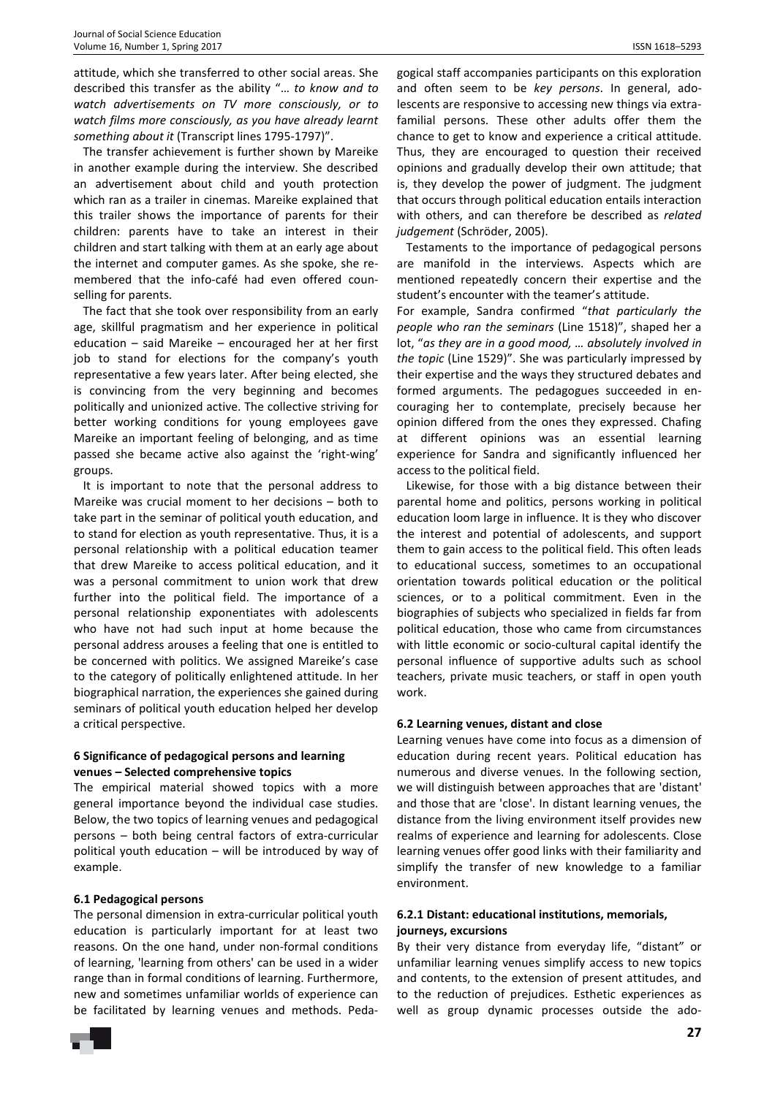attitude, which she transferred to other social areas. She described this transfer as the ability "… *to know and to watch advertisements on TV more consciously, or to watch films more consciously, as you have already learnt something about it* (Transcript lines 1795-1797)".

The transfer achievement is further shown by Mareike in another example during the interview. She described an advertisement about child and youth protection which ran as a trailer in cinemas. Mareike explained that this trailer shows the importance of parents for their children: parents have to take an interest in their children and start talking with them at an early age about the internet and computer games. As she spoke, she remembered that the info-café had even offered counselling for parents.

The fact that she took over responsibility from an early age, skillful pragmatism and her experience in political education – said Mareike – encouraged her at her first job to stand for elections for the company's youth representative a few years later. After being elected, she is convincing from the very beginning and becomes politically and unionized active. The collective striving for better working conditions for young employees gave Mareike an important feeling of belonging, and as time passed she became active also against the 'right-wing' groups.

It is important to note that the personal address to Mareike was crucial moment to her decisions – both to take part in the seminar of political youth education, and to stand for election as youth representative. Thus, it is a personal relationship with a political education teamer that drew Mareike to access political education, and it was a personal commitment to union work that drew further into the political field. The importance of a personal relationship exponentiates with adolescents who have not had such input at home because the personal address arouses a feeling that one is entitled to be concerned with politics. We assigned Mareike's case to the category of politically enlightened attitude. In her biographical narration, the experiences she gained during seminars of political youth education helped her develop a critical perspective.

## **6 Significance of pedagogical persons and learning venues – Selected comprehensive topics**

The empirical material showed topics with a more general importance beyond the individual case studies. Below, the two topics of learning venues and pedagogical persons – both being central factors of extra-curricular political youth education – will be introduced by way of example.

## **6.1 Pedagogical persons**

The personal dimension in extra-curricular political youth education is particularly important for at least two reasons. On the one hand, under non-formal conditions of learning, 'learning from others' can be used in a wider range than in formal conditions of learning. Furthermore, new and sometimes unfamiliar worlds of experience can be facilitated by learning venues and methods. Peda-

Thus, they are encouraged to question their received opinions and gradually develop their own attitude; that is, they develop the power of judgment. The judgment that occurs through political education entails interaction with others, and can therefore be described as *related judgement* (Schröder, 2005).

Testaments to the importance of pedagogical persons are manifold in the interviews. Aspects which are mentioned repeatedly concern their expertise and the student's encounter with the teamer's attitude.

For example, Sandra confirmed "*that particularly the people who ran the seminars* (Line 1518)", shaped her a lot, "*as they are in a good mood, … absolutely involved in the topic* (Line 1529)". She was particularly impressed by their expertise and the ways they structured debates and formed arguments. The pedagogues succeeded in encouraging her to contemplate, precisely because her opinion differed from the ones they expressed. Chafing at different opinions was an essential learning experience for Sandra and significantly influenced her access to the political field.

Likewise, for those with a big distance between their parental home and politics, persons working in political education loom large in influence. It is they who discover the interest and potential of adolescents, and support them to gain access to the political field. This often leads to educational success, sometimes to an occupational orientation towards political education or the political sciences, or to a political commitment. Even in the biographies of subjects who specialized in fields far from political education, those who came from circumstances with little economic or socio-cultural capital identify the personal influence of supportive adults such as school teachers, private music teachers, or staff in open youth work.

## **6.2 Learning venues, distant and close**

Learning venues have come into focus as a dimension of education during recent years. Political education has numerous and diverse venues. In the following section, we will distinguish between approaches that are 'distant' and those that are 'close'. In distant learning venues, the distance from the living environment itself provides new realms of experience and learning for adolescents. Close learning venues offer good links with their familiarity and simplify the transfer of new knowledge to a familiar environment.

## **6.2.1 Distant: educational institutions, memorials, journeys, excursions**

By their very distance from everyday life, "distant" or unfamiliar learning venues simplify access to new topics and contents, to the extension of present attitudes, and to the reduction of prejudices. Esthetic experiences as well as group dynamic processes outside the ado-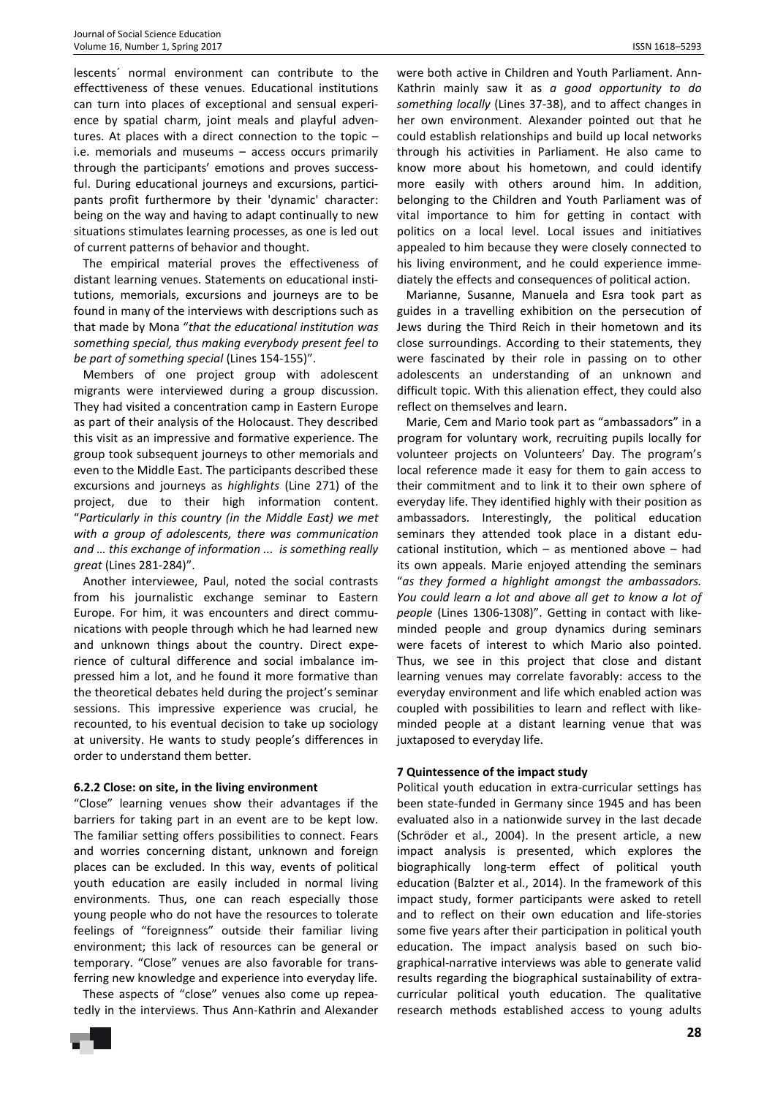lescents´ normal environment can contribute to the effecttiveness of these venues. Educational institutions can turn into places of exceptional and sensual experience by spatial charm, joint meals and playful adventures. At places with a direct connection to the topic – i.e. memorials and museums – access occurs primarily through the participants' emotions and proves successful. During educational journeys and excursions, participants profit furthermore by their 'dynamic' character: being on the way and having to adapt continually to new situations stimulates learning processes, as one is led out of current patterns of behavior and thought.

The empirical material proves the effectiveness of distant learning venues. Statements on educational institutions, memorials, excursions and journeys are to be found in many of the interviews with descriptions such as that made by Mona "*that the educational institution was something special, thus making everybody present feel to be part of something special* (Lines 154-155)".

Members of one project group with adolescent migrants were interviewed during a group discussion. They had visited a concentration camp in Eastern Europe as part of their analysis of the Holocaust. They described this visit as an impressive and formative experience. The group took subsequent journeys to other memorials and even to the Middle East. The participants described these excursions and journeys as *highlights* (Line 271) of the project, due to their high information content. "*Particularly in this country (in the Middle East) we met with a group of adolescents, there was communication and … this exchange of information ... is something really great* (Lines 281-284)".

Another interviewee, Paul, noted the social contrasts from his journalistic exchange seminar to Eastern Europe. For him, it was encounters and direct communications with people through which he had learned new and unknown things about the country. Direct experience of cultural difference and social imbalance impressed him a lot, and he found it more formative than the theoretical debates held during the project's seminar sessions. This impressive experience was crucial, he recounted, to his eventual decision to take up sociology at university. He wants to study people's differences in order to understand them better.

#### **6.2.2 Close: on site, in the living environment**

"Close" learning venues show their advantages if the barriers for taking part in an event are to be kept low. The familiar setting offers possibilities to connect. Fears and worries concerning distant, unknown and foreign places can be excluded. In this way, events of political youth education are easily included in normal living environments. Thus, one can reach especially those young people who do not have the resources to tolerate feelings of "foreignness" outside their familiar living environment; this lack of resources can be general or temporary. "Close" venues are also favorable for transferring new knowledge and experience into everyday life.

These aspects of "close" venues also come up repeatedly in the interviews. Thus Ann-Kathrin and Alexander

were both active in Children and Youth Parliament. Ann-Kathrin mainly saw it as *a good opportunity to do something locally* (Lines 37-38), and to affect changes in her own environment. Alexander pointed out that he could establish relationships and build up local networks through his activities in Parliament. He also came to know more about his hometown, and could identify more easily with others around him. In addition, belonging to the Children and Youth Parliament was of vital importance to him for getting in contact with politics on a local level. Local issues and initiatives appealed to him because they were closely connected to his living environment, and he could experience immediately the effects and consequences of political action.

Marianne, Susanne, Manuela and Esra took part as guides in a travelling exhibition on the persecution of Jews during the Third Reich in their hometown and its close surroundings. According to their statements, they were fascinated by their role in passing on to other adolescents an understanding of an unknown and difficult topic. With this alienation effect, they could also reflect on themselves and learn.

Marie, Cem and Mario took part as "ambassadors" in a program for voluntary work, recruiting pupils locally for volunteer projects on Volunteers' Day. The program's local reference made it easy for them to gain access to their commitment and to link it to their own sphere of everyday life. They identified highly with their position as ambassadors. Interestingly, the political education seminars they attended took place in a distant educational institution, which – as mentioned above – had its own appeals. Marie enjoyed attending the seminars "*as they formed a highlight amongst the ambassadors. You could learn a lot and above all get to know a lot of people* (Lines 1306-1308)". Getting in contact with likeminded people and group dynamics during seminars were facets of interest to which Mario also pointed. Thus, we see in this project that close and distant learning venues may correlate favorably: access to the everyday environment and life which enabled action was coupled with possibilities to learn and reflect with likeminded people at a distant learning venue that was juxtaposed to everyday life.

## **7 Quintessence of the impact study**

Political youth education in extra-curricular settings has been state-funded in Germany since 1945 and has been evaluated also in a nationwide survey in the last decade (Schröder et al., 2004). In the present article, a new impact analysis is presented, which explores the biographically long-term effect of political youth education (Balzter et al., 2014). In the framework of this impact study, former participants were asked to retell and to reflect on their own education and life-stories some five years after their participation in political youth education. The impact analysis based on such biographical-narrative interviews was able to generate valid results regarding the biographical sustainability of extracurricular political youth education. The qualitative research methods established access to young adults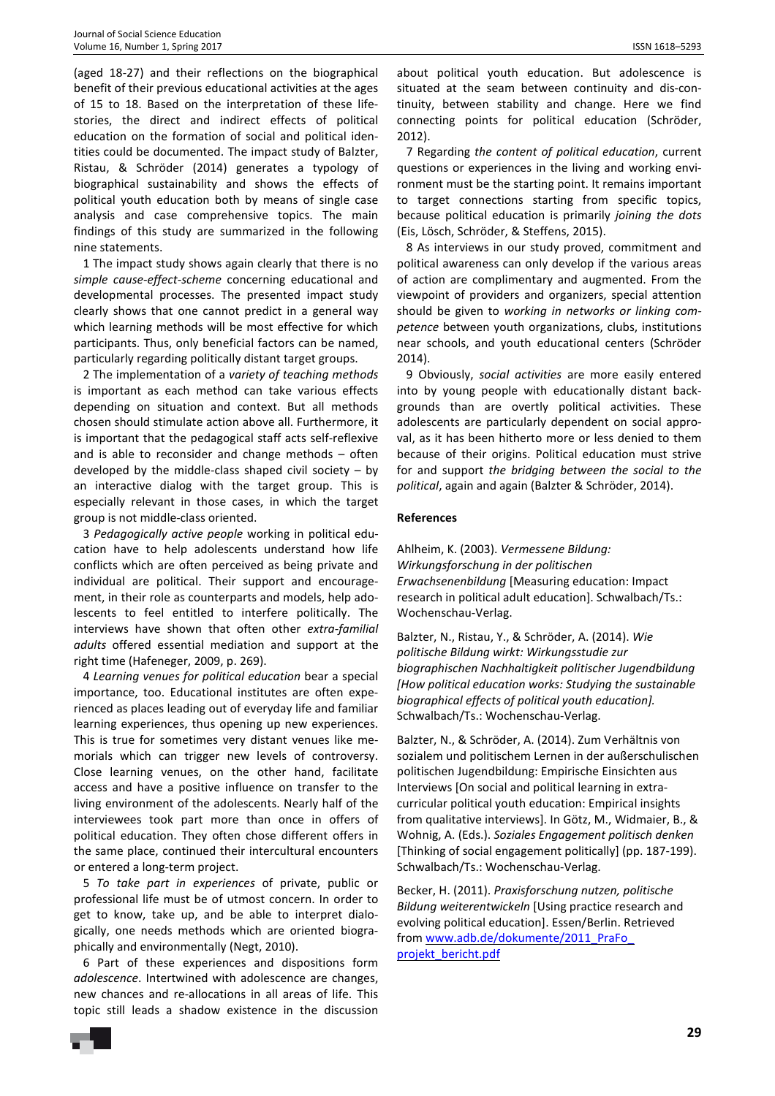(aged 18-27) and their reflections on the biographical benefit of their previous educational activities at the ages of 15 to 18. Based on the interpretation of these lifestories, the direct and indirect effects of political education on the formation of social and political identities could be documented. The impact study of Balzter, Ristau, & Schröder (2014) generates a typology of biographical sustainability and shows the effects of political youth education both by means of single case analysis and case comprehensive topics. The main findings of this study are summarized in the following nine statements.

1 The impact study shows again clearly that there is no *simple cause-effect-scheme* concerning educational and developmental processes. The presented impact study clearly shows that one cannot predict in a general way which learning methods will be most effective for which participants. Thus, only beneficial factors can be named, particularly regarding politically distant target groups.

2 The implementation of a *variety of teaching methods* is important as each method can take various effects depending on situation and context. But all methods chosen should stimulate action above all. Furthermore, it is important that the pedagogical staff acts self-reflexive and is able to reconsider and change methods – often developed by the middle-class shaped civil society – by an interactive dialog with the target group. This is especially relevant in those cases, in which the target group is not middle-class oriented.

3 *Pedagogically active people* working in political education have to help adolescents understand how life conflicts which are often perceived as being private and individual are political. Their support and encouragement, in their role as counterparts and models, help adolescents to feel entitled to interfere politically. The interviews have shown that often other *extra-familial adults* offered essential mediation and support at the right time (Hafeneger, 2009, p. 269).

4 *Learning venues for political education* bear a special importance, too. Educational institutes are often experienced as places leading out of everyday life and familiar learning experiences, thus opening up new experiences. This is true for sometimes very distant venues like memorials which can trigger new levels of controversy. Close learning venues, on the other hand, facilitate access and have a positive influence on transfer to the living environment of the adolescents. Nearly half of the interviewees took part more than once in offers of political education. They often chose different offers in the same place, continued their intercultural encounters or entered a long-term project.

5 *To take part in experiences* of private, public or professional life must be of utmost concern. In order to get to know, take up, and be able to interpret dialogically, one needs methods which are oriented biographically and environmentally (Negt, 2010).

6 Part of these experiences and dispositions form *adolescence*. Intertwined with adolescence are changes, new chances and re-allocations in all areas of life. This topic still leads a shadow existence in the discussion about political youth education. But adolescence is situated at the seam between continuity and dis-continuity, between stability and change. Here we find connecting points for political education (Schröder, 2012).

7 Regarding *the content of political education*, current questions or experiences in the living and working environment must be the starting point. It remains important to target connections starting from specific topics, because political education is primarily *joining the dots* (Eis, Lösch, Schröder, & Steffens, 2015).

8 As interviews in our study proved, commitment and political awareness can only develop if the various areas of action are complimentary and augmented. From the viewpoint of providers and organizers, special attention should be given to *working in networks or linking competence* between youth organizations, clubs, institutions near schools, and youth educational centers (Schröder 2014).

9 Obviously, *social activities* are more easily entered into by young people with educationally distant backgrounds than are overtly political activities. These adolescents are particularly dependent on social approval, as it has been hitherto more or less denied to them because of their origins. Political education must strive for and support *the bridging between the social to the political*, again and again (Balzter & Schröder, 2014).

#### **References**

Ahlheim, K. (2003). *Vermessene Bildung: Wirkungsforschung in der politischen Erwachsenenbildung* [Measuring education: Impact research in political adult education]. Schwalbach/Ts.: Wochenschau-Verlag.

Balzter, N., Ristau, Y., & Schröder, A. (2014). *Wie politische Bildung wirkt: Wirkungsstudie zur biographischen Nachhaltigkeit politischer Jugendbildung [How political education works: Studying the sustainable biographical effects of political youth education].* Schwalbach/Ts.: Wochenschau-Verlag.

Balzter, N., & Schröder, A. (2014). Zum Verhältnis von sozialem und politischem Lernen in der außerschulischen politischen Jugendbildung: Empirische Einsichten aus Interviews [On social and political learning in extracurricular political youth education: Empirical insights from qualitative interviews]. In Götz, M., Widmaier, B., & Wohnig, A. (Eds.). *Soziales Engagement politisch denken* [Thinking of social engagement politically] (pp. 187-199). Schwalbach/Ts.: Wochenschau-Verlag.

Becker, H. (2011). *Praxisforschung nutzen, politische Bildung weiterentwickeln* [Using practice research and evolving political education]. Essen/Berlin. Retrieved from www.adb.de/dokumente/2011\_PraFo\_ projekt\_bericht.pdf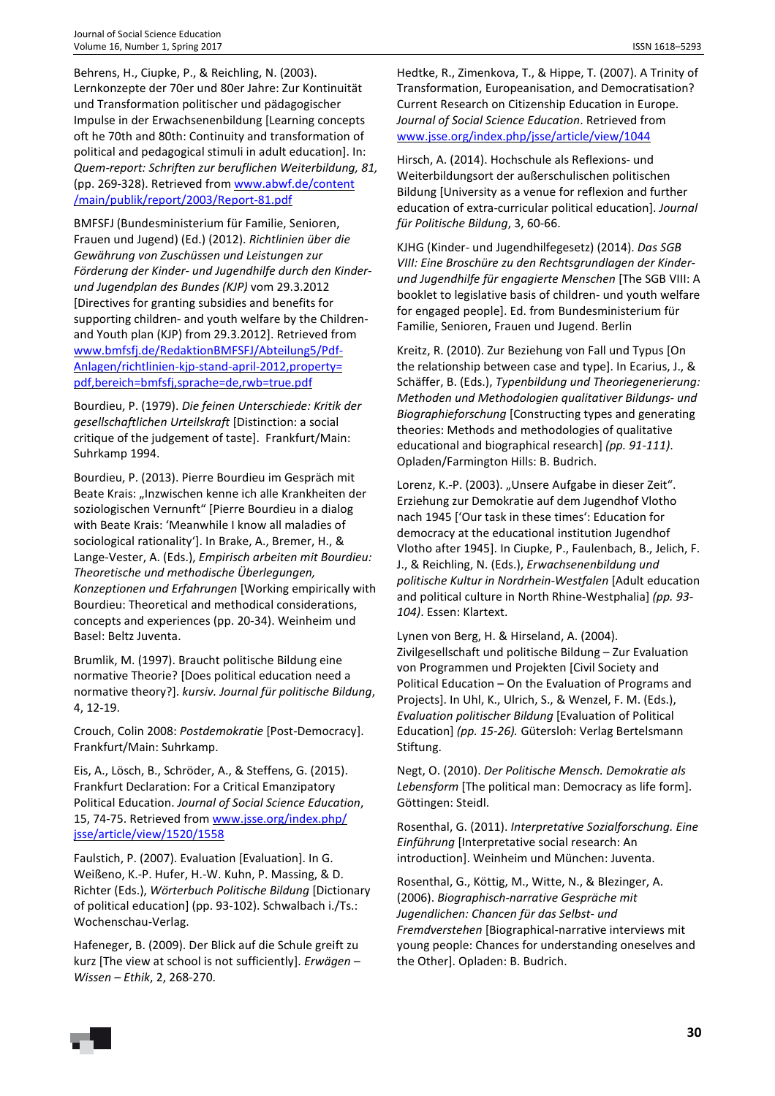Behrens, H., Ciupke, P., & Reichling, N. (2003). Lernkonzepte der 70er und 80er Jahre: Zur Kontinuität und Transformation politischer und pädagogischer Impulse in der Erwachsenenbildung [Learning concepts oft he 70th and 80th: Continuity and transformation of political and pedagogical stimuli in adult education]. In: *Quem-report: Schriften zur beruflichen Weiterbildung, 81,* (pp. 269-328). Retrieved from www.abwf.de/content /main/publik/report/2003/Report-81.pdf

BMFSFJ (Bundesministerium für Familie, Senioren, Frauen und Jugend) (Ed.) (2012). *Richtlinien über die Gewährung von Zuschüssen und Leistungen zur Förderung der Kinder- und Jugendhilfe durch den Kinderund Jugendplan des Bundes (KJP)* vom 29.3.2012 [Directives for granting subsidies and benefits for supporting children- and youth welfare by the Childrenand Youth plan (KJP) from 29.3.2012]. Retrieved from www.bmfsfj.de/RedaktionBMFSFJ/Abteilung5/Pdf-Anlagen/richtlinien-kjp-stand-april-2012,property= pdf,bereich=bmfsfj,sprache=de,rwb=true.pdf

Bourdieu, P. (1979). *Die feinen Unterschiede: Kritik der gesellschaftlichen Urteilskraft* [Distinction: a social critique of the judgement of taste]. Frankfurt/Main: Suhrkamp 1994.

Bourdieu, P. (2013). Pierre Bourdieu im Gespräch mit Beate Krais: "Inzwischen kenne ich alle Krankheiten der soziologischen Vernunft" [Pierre Bourdieu in a dialog with Beate Krais: 'Meanwhile I know all maladies of sociological rationality']. In Brake, A., Bremer, H., & Lange-Vester, A. (Eds.), *Empirisch arbeiten mit Bourdieu: Theoretische und methodische Überlegungen, Konzeptionen und Erfahrungen* [Working empirically with Bourdieu: Theoretical and methodical considerations, concepts and experiences (pp. 20-34). Weinheim und Basel: Beltz Juventa.

Brumlik, M. (1997). Braucht politische Bildung eine normative Theorie? [Does political education need a normative theory?]. *kursiv. Journal für politische Bildung*, 4, 12-19.

Crouch, Colin 2008: *Postdemokratie* [Post-Democracy]. Frankfurt/Main: Suhrkamp.

Eis, A., Lösch, B., Schröder, A., & Steffens, G. (2015). Frankfurt Declaration: For a Critical Emanzipatory Political Education. *Journal of Social Science Education*, 15, 74-75. Retrieved from www.jsse.org/index.php/ jsse/article/view/1520/1558

Faulstich, P. (2007). Evaluation [Evaluation]. In G. Weißeno, K.-P. Hufer, H.-W. Kuhn, P. Massing, & D. Richter (Eds.), *Wörterbuch Politische Bildung* [Dictionary of political education] (pp. 93-102). Schwalbach i./Ts.: Wochenschau-Verlag.

Hafeneger, B. (2009). Der Blick auf die Schule greift zu kurz [The view at school is not sufficiently]. *Erwägen – Wissen – Ethik*, 2, 268-270.

Hedtke, R., Zimenkova, T., & Hippe, T. (2007). A Trinity of Transformation, Europeanisation, and Democratisation? Current Research on Citizenship Education in Europe. *Journal of Social Science Education*. Retrieved from www.jsse.org/index.php/jsse/article/view/1044

Hirsch, A. (2014). Hochschule als Reflexions- und Weiterbildungsort der außerschulischen politischen Bildung [University as a venue for reflexion and further education of extra-curricular political education]. *Journal für Politische Bildung*, 3, 60-66.

KJHG (Kinder- und Jugendhilfegesetz) (2014). *Das SGB VIII: Eine Broschüre zu den Rechtsgrundlagen der Kinderund Jugendhilfe für engagierte Menschen* [The SGB VIII: A booklet to legislative basis of children- und youth welfare for engaged people]. Ed. from Bundesministerium für Familie, Senioren, Frauen und Jugend. Berlin

Kreitz, R. (2010). Zur Beziehung von Fall und Typus [On the relationship between case and type]. In Ecarius, J., & Schäffer, B. (Eds.), *Typenbildung und Theoriegenerierung: Methoden und Methodologien qualitativer Bildungs- und Biographieforschung* [Constructing types and generating theories: Methods and methodologies of qualitative educational and biographical research] *(pp. 91-111)*. Opladen/Farmington Hills: B. Budrich.

Lorenz, K.-P. (2003). "Unsere Aufgabe in dieser Zeit". Erziehung zur Demokratie auf dem Jugendhof Vlotho nach 1945 ['Our task in these times': Education for democracy at the educational institution Jugendhof Vlotho after 1945]. In Ciupke, P., Faulenbach, B., Jelich, F. J., & Reichling, N. (Eds.), *Erwachsenenbildung und politische Kultur in Nordrhein-Westfalen* [Adult education and political culture in North Rhine-Westphalia] *(pp. 93- 104)*. Essen: Klartext.

Lynen von Berg, H. & Hirseland, A. (2004). Zivilgesellschaft und politische Bildung – Zur Evaluation von Programmen und Projekten [Civil Society and Political Education – On the Evaluation of Programs and Projects]. In Uhl, K., Ulrich, S., & Wenzel, F. M. (Eds.), *Evaluation politischer Bildung* [Evaluation of Political Education] *(pp. 15-26).* Gütersloh: Verlag Bertelsmann Stiftung.

Negt, O. (2010). *Der Politische Mensch. Demokratie als Lebensform* [The political man: Democracy as life form]. Göttingen: Steidl.

Rosenthal, G. (2011). *Interpretative Sozialforschung. Eine Einführung* [Interpretative social research: An introduction]. Weinheim und München: Juventa.

Rosenthal, G., Köttig, M., Witte, N., & Blezinger, A. (2006). *Biographisch-narrative Gespräche mit Jugendlichen: Chancen für das Selbst- und Fremdverstehen* [Biographical-narrative interviews mit young people: Chances for understanding oneselves and the Other]. Opladen: B. Budrich.